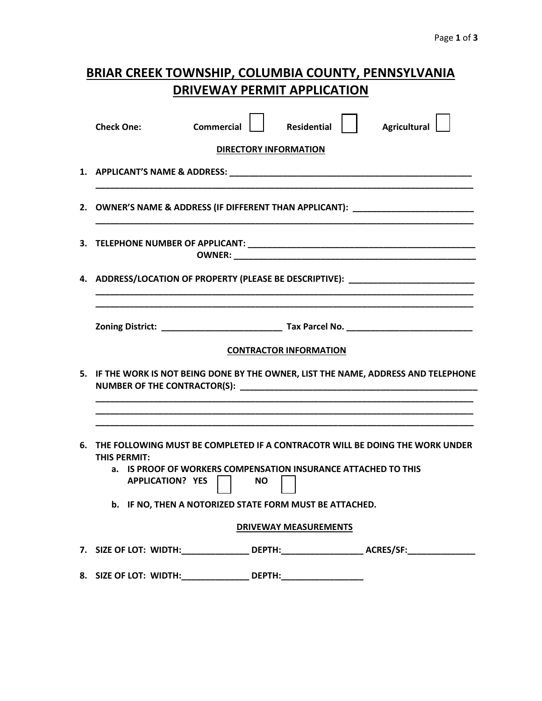| <b>BRIAR CREEK TOWNSHIP, COLUMBIA COUNTY, PENNSYLVANIA</b> |
|------------------------------------------------------------|
| DRIVEWAY PERMIT APPLICATION                                |

|    | <b>Agricultural</b><br><b>Check One:</b><br><b>Commercial</b><br><b>Residential</b>                                                                                                                   |  |  |  |  |
|----|-------------------------------------------------------------------------------------------------------------------------------------------------------------------------------------------------------|--|--|--|--|
|    | <b>DIRECTORY INFORMATION</b>                                                                                                                                                                          |  |  |  |  |
|    |                                                                                                                                                                                                       |  |  |  |  |
|    | 2. OWNER'S NAME & ADDRESS (IF DIFFERENT THAN APPLICANT): _______________________                                                                                                                      |  |  |  |  |
|    |                                                                                                                                                                                                       |  |  |  |  |
| 4. | ADDRESS/LOCATION OF PROPERTY (PLEASE BE DESCRIPTIVE): National process of the contract of the contract of the c                                                                                       |  |  |  |  |
|    |                                                                                                                                                                                                       |  |  |  |  |
|    |                                                                                                                                                                                                       |  |  |  |  |
|    | <b>CONTRACTOR INFORMATION</b>                                                                                                                                                                         |  |  |  |  |
|    | 5. IF THE WORK IS NOT BEING DONE BY THE OWNER, LIST THE NAME, ADDRESS AND TELEPHONE                                                                                                                   |  |  |  |  |
|    |                                                                                                                                                                                                       |  |  |  |  |
|    | 6. THE FOLLOWING MUST BE COMPLETED IF A CONTRACOTR WILL BE DOING THE WORK UNDER<br>THIS PERMIT:<br>IS PROOF OF WORKERS COMPENSATION INSURANCE ATTACHED TO THIS<br>а.<br><b>APPLICATION? YES</b><br>NΟ |  |  |  |  |
|    | b. IF NO, THEN A NOTORIZED STATE FORM MUST BE ATTACHED.                                                                                                                                               |  |  |  |  |
|    | <b>DRIVEWAY MEASUREMENTS</b>                                                                                                                                                                          |  |  |  |  |
|    | 7. SIZE OF LOT: WIDTH:_________________ DEPTH:_____________________ ACRES/SF:_______________                                                                                                          |  |  |  |  |
|    | 8. SIZE OF LOT: WIDTH:__________________ DEPTH:_________________________________                                                                                                                      |  |  |  |  |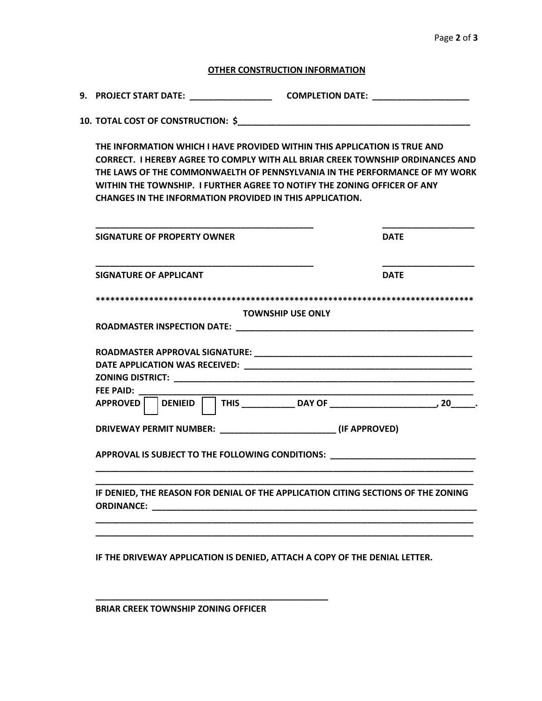## **OTHER CONSTRUCTION INFORMATION**

**9. PROJECT START DATE: \_\_\_\_\_\_\_\_\_\_\_\_\_\_\_\_\_ COMPLETION DATE: \_\_\_\_\_\_\_\_\_\_\_\_\_\_\_\_\_\_\_\_**

**10. TOTAL COST OF CONSTRUCTION: \$\_\_\_\_\_\_\_\_\_\_\_\_\_\_\_\_\_\_\_\_\_\_\_\_\_\_\_\_\_\_\_\_\_\_\_\_\_\_\_\_\_\_\_\_\_\_\_\_**

**THE INFORMATION WHICH I HAVE PROVIDED WITHIN THIS APPLICATION IS TRUE AND CORRECT. I HEREBY AGREE TO COMPLY WITH ALL BRIAR CREEK TOWNSHIP ORDINANCES AND THE LAWS OF THE COMMONWAELTH OF PENNSYLVANIA IN THE PERFORMANCE OF MY WORK WITHIN THE TOWNSHIP. I FURTHER AGREE TO NOTIFY THE ZONING OFFICER OF ANY CHANGES IN THE INFORMATION PROVIDED IN THIS APPLICATION.**

| SIGNATURE OF PROPERTY OWNER                                                       | <b>DATE</b> |
|-----------------------------------------------------------------------------------|-------------|
| <b>SIGNATURE OF APPLICANT</b>                                                     | <b>DATE</b> |
|                                                                                   |             |
| <b>TOWNSHIP USE ONLY</b>                                                          |             |
|                                                                                   |             |
|                                                                                   |             |
|                                                                                   |             |
|                                                                                   |             |
| FEE PAID: _____________                                                           |             |
| APPROVED                                                                          |             |
| DRIVEWAY PERMIT NUMBER: ___________________________________ (IF APPROVED)         |             |
| APPROVAL IS SUBJECT TO THE FOLLOWING CONDITIONS: _______________________________  |             |
| IF DENIED, THE REASON FOR DENIAL OF THE APPLICATION CITING SECTIONS OF THE ZONING |             |
|                                                                                   |             |
|                                                                                   |             |
| IF THE DRIVEWAY APPLICATION IS DENIED, ATTACH A COPY OF THE DENIAL LETTER.        |             |

**\_\_\_\_\_\_\_\_\_\_\_\_\_\_\_\_\_\_\_\_\_\_\_\_\_\_\_\_\_\_\_\_\_\_\_\_\_\_\_\_\_\_\_\_\_\_\_\_ BRIAR CREEK TOWNSHIP ZONING OFFICER**